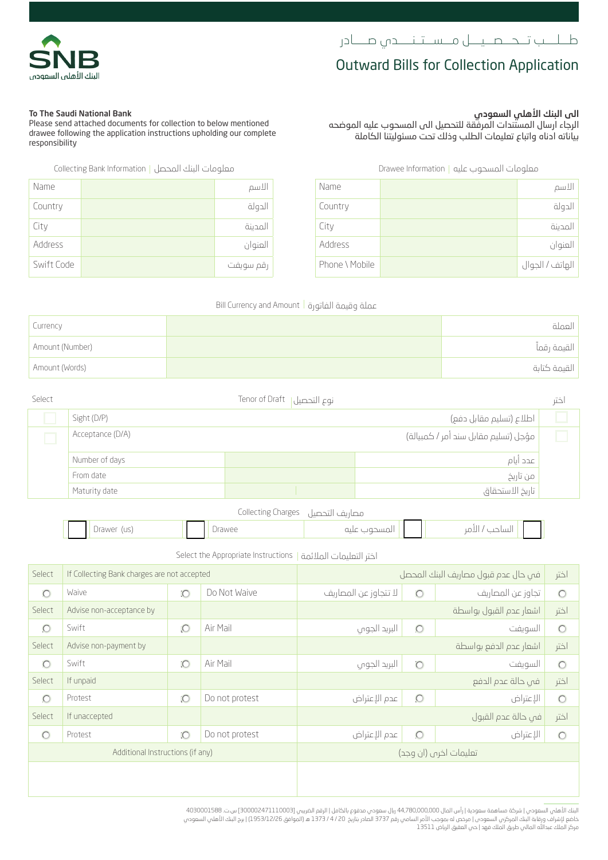## **Outward Bills for Collection Application**

الرجاء ارسال المستندات المرفقة للتحصيل الى المسحوب عليه الموضحه بياناته ادناه واتباع تعليمات الطلب وذلك تحت مسئوليتنا الكاملة

الى البنك الأهلي السعودي

### To The Saudi National Bank

Please send attached documents for collection to below mentioned drawee following the application instructions upholding our complete responsibility

معلومات المسحوب عليه | Drawee Information | معلومات البنك المحصل | Collecting Bank Information

| Name       | الاسم     | Name           | الاسم           |
|------------|-----------|----------------|-----------------|
| Country    | الدولة    | Country        | الدولة          |
| City       | المدينة   | City           | المدينة         |
| Address    | العنوان   | Address        | العنوان         |
| Swift Code | رقم سويفت | Phone \ Mobile | الهاتف / الجوال |

#### عملة وقيمة الفاتورة | Bill Currency and Amount

| Currency        | العملة       |
|-----------------|--------------|
| Amount (Number) | القيمة رقماً |
| Amount (Words)  | القيمة كتابة |

| Select |                  | نوع التحصيل  Tenor of Draft          |                         | ختر |
|--------|------------------|--------------------------------------|-------------------------|-----|
|        | Sight (D/P)      |                                      | اطلاع (تسليم مقابل دفع) |     |
|        | Acceptance (D/A) | مؤجل (تسليم مقابل سند أمر / كمبيالة) |                         |     |
|        | Number of days   |                                      | عدد أيام                |     |
|        | From date        |                                      | من تاريخ                |     |
|        | Maturity date    |                                      | تاريخ الاستحقاق         |     |

مصاريف التحصيل Charges Collecting

|                                                 |                       | _____ |                             |                          |  |
|-------------------------------------------------|-----------------------|-------|-----------------------------|--------------------------|--|
| $\overline{\phantom{a}}$<br>$\sim$<br>◡<br>$-1$ | <b>AMP</b><br>------- |       | $\sim$ $\sim$ $\sim$ $\sim$ | ∽<br>ست ڪپ<br>$\sim$ $-$ |  |
|                                                 |                       |       |                             |                          |  |

اختر التعليمات المالئمة Instructions Appropriate the Select

| Select                           | If Collecting Bank charges are not accepted |                |                       | في حال عدم قبول مصاريف البنك المحصل |                              |                         | اختر    |
|----------------------------------|---------------------------------------------|----------------|-----------------------|-------------------------------------|------------------------------|-------------------------|---------|
| $\circ$                          | Waive                                       | $\overline{O}$ | Do Not Waive          | لا تتجاوز عن المصاريف               | تجاوز عن المصاريف<br>$\circ$ |                         | $\circ$ |
| Select                           | Advise non-acceptance by                    |                |                       |                                     |                              | اشعار عدم القبول بواسطة | اختر    |
| $\circ$                          | Swift                                       | $\circ$        | Air Mail              | البريد الجوس                        | $\circ$                      | السويفت                 | $\circ$ |
| Select                           | Advise non-payment by                       |                |                       |                                     |                              | اشعار عدم الدفع بواسطة  | اختر    |
| $\circ$                          | Swift                                       | $\overline{O}$ | Air Mail              | البريد الجوس                        | $\overline{C}$               | السويفت                 | $\circ$ |
| Select                           | If unpaid                                   |                |                       |                                     |                              | في حالة عدم الدفع       | اختر    |
| $\circ$                          | Protest                                     | $\overline{O}$ | Do not protest        | عدم الإعتراض                        | $\circ$                      | الإعتراض                | $\circ$ |
| Select                           | If unaccepted                               |                |                       |                                     |                              | في حالة عدم القبول      | ختر     |
| $\circ$                          | Protest                                     | $\circ$        | Do not protest        | عدم الإعتراض                        | $\circ$                      | الإعتراض                | $\circ$ |
| Additional Instructions (if any) |                                             |                | تعليمات اخرص (ان وجد) |                                     |                              |                         |         |
|                                  |                                             |                |                       |                                     |                              |                         |         |

البنك الاهلي السعودي | شركة مساهمة سعودية | راس المال 44,780,000,000 ريال سعودي مدفوع بالكامل | الرقم الضريبي [300002471110003 س.ت. 030001588<br>خاضع لإشراف ورقابة البنك المركزم، السعودي | مرض له بموجب الأمر السامي رقم 1373 مركز الملك عبدالله المالي طريق الملك فهد | حي العقيق الرياض 13511



| Name       | الاسم     |
|------------|-----------|
| Country    | الدولة    |
| City       | المدينة   |
| Address    | العنوان   |
| Swift Code | رقم سويفت |